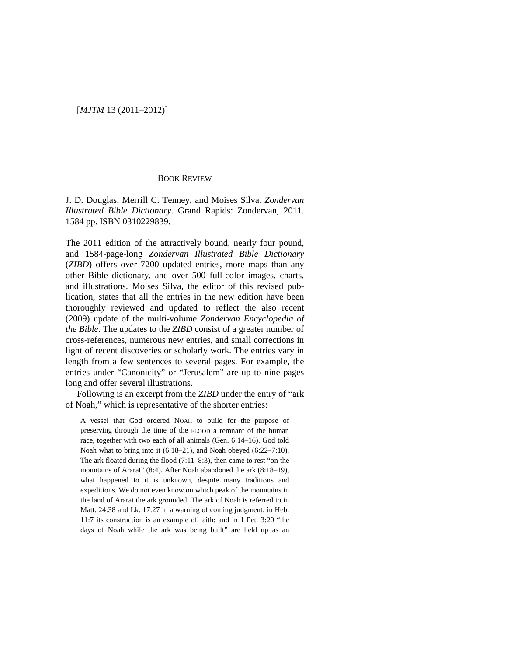## [*MJTM* 13 (2011–2012)]

## BOOK REVIEW

J. D. Douglas, Merrill C. Tenney, and Moises Silva. *Zondervan Illustrated Bible Dictionary*. Grand Rapids: Zondervan, 2011. 1584 pp. ISBN 0310229839.

The 2011 edition of the attractively bound, nearly four pound, and 1584-page-long *Zondervan Illustrated Bible Dictionary* (*ZIBD*) offers over 7200 updated entries, more maps than any other Bible dictionary, and over 500 full-color images, charts, and illustrations. Moises Silva, the editor of this revised publication, states that all the entries in the new edition have been thoroughly reviewed and updated to reflect the also recent (2009) update of the multi-volume *Zondervan Encyclopedia of the Bible*. The updates to the *ZIBD* consist of a greater number of cross-references, numerous new entries, and small corrections in light of recent discoveries or scholarly work. The entries vary in length from a few sentences to several pages. For example, the entries under "Canonicity" or "Jerusalem" are up to nine pages long and offer several illustrations.

Following is an excerpt from the *ZIBD* under the entry of "ark of Noah," which is representative of the shorter entries:

A vessel that God ordered NOAH to build for the purpose of preserving through the time of the FLOOD a remnant of the human race, together with two each of all animals (Gen. 6:14–16). God told Noah what to bring into it (6:18–21), and Noah obeyed (6:22–7:10). The ark floated during the flood (7:11–8:3), then came to rest "on the mountains of Ararat" (8:4). After Noah abandoned the ark (8:18–19), what happened to it is unknown, despite many traditions and expeditions. We do not even know on which peak of the mountains in the land of Ararat the ark grounded. The ark of Noah is referred to in Matt. 24:38 and Lk. 17:27 in a warning of coming judgment; in Heb. 11:7 its construction is an example of faith; and in 1 Pet. 3:20 "the days of Noah while the ark was being built" are held up as an